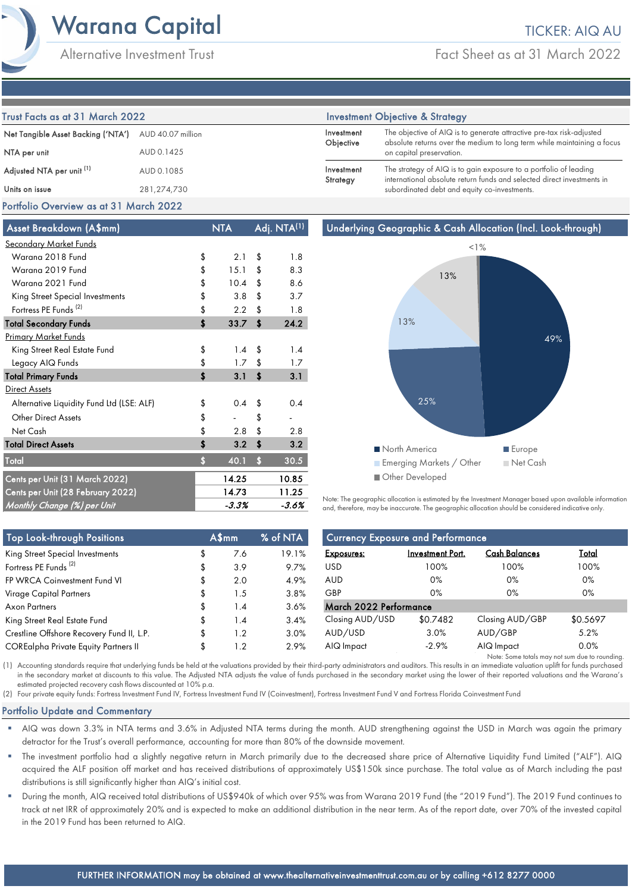Alternative Investment Trust

Fact Sheet as at 31 March 2022

| Trust Facts as at 31 March 2022      |                   | <b>Investment Objective &amp; Strategy</b> |                                                                                                                                                 |  |
|--------------------------------------|-------------------|--------------------------------------------|-------------------------------------------------------------------------------------------------------------------------------------------------|--|
| Net Tangible Asset Backing ('NTA')   | AUD 40.07 million | Investment<br>Objective                    | The objective of AIQ is to generate attractive pre-tax risk-adjusted<br>absolute returns over the medium to long term while maintaining a focus |  |
| NTA per unit                         | AUD 0.1425        |                                            | on capital preservation.                                                                                                                        |  |
| Adjusted NTA per unit <sup>(1)</sup> | AUD 0.1085        | Investment<br>Strategy                     | The strategy of AIQ is to gain exposure to a portfolio of leading<br>international absolute return funds and selected direct investments in     |  |
| Units on issue                       | 281,274,730       |                                            | subordinated debt and equity co-investments.                                                                                                    |  |

# Portfolio Overview as at 31 March 2022

| Asset Breakdown (A\$mm)                   |    | NTA   |            | Adj. NTA <sup>(1)</sup> |
|-------------------------------------------|----|-------|------------|-------------------------|
| <b>Secondary Market Funds</b>             |    |       |            |                         |
| Warana 2018 Fund                          | \$ | 2.1   | \$         | 1.8                     |
| Warana 2019 Fund                          | \$ | 15.1  | \$         | 8.3                     |
| Warana 2021 Fund                          | \$ | 10.4  | \$         | 8.6                     |
| King Street Special Investments           | \$ | 3.8   | \$         | 3.7                     |
| Fortress PE Funds <sup>(2)</sup>          | \$ | 2.2   | \$         | 1.8                     |
| <b>Total Secondary Funds</b>              | \$ | 33.7  | \$         | 24.2                    |
| <b>Primary Market Funds</b>               |    |       |            |                         |
| King Street Real Estate Fund              | \$ | 1.4   | \$         | 1.4                     |
| Legacy AIQ Funds                          | \$ | 1.7   | \$         | 1.7                     |
| <b>Total Primary Funds</b>                | \$ | 3.1   | \$         | 3.1                     |
| Direct Assets                             |    |       |            |                         |
| Alternative Liquidity Fund Ltd (LSE: ALF) | \$ | 0.4   | \$         | 0.4                     |
| <b>Other Direct Assets</b>                | \$ |       | \$         |                         |
| Net Cash                                  | \$ | 2.8   | \$         | 2.8                     |
| <b>Total Direct Assets</b>                | \$ | 3.2   | \$         | 3.2                     |
| Total                                     | Ś  | 40.1  | $\ddot{s}$ | 30.5                    |
| Cents per Unit (31 March 2022)            |    | 14.25 |            | 10.85                   |
| Cents per Unit (28 February 2022)         |    | 14.73 |            | 11.25                   |
| Monthly Change (%) per Unit               |    | -3.3% |            | -3.6%                   |



Note: The geographic allocation is estimated by the Investment Manager based upon available information and, therefore, may be inaccurate. The geographic allocation should be considered indicative only.

| <b>Top Look-through Positions</b>           |  | A\$mm | % of NTA | <b>Currency Exposure and Performance</b> |                         |                                                |              |
|---------------------------------------------|--|-------|----------|------------------------------------------|-------------------------|------------------------------------------------|--------------|
| King Street Special Investments             |  | 7.6   | 19.1%    | <b>Exposures:</b>                        | <b>Investment Port.</b> | <b>Cash Balances</b>                           | <u>Total</u> |
| Fortress PE Funds <sup>(2)</sup>            |  | 3.9   | 9.7%     | USD.                                     | 100%                    | 100%                                           | 100%         |
| FP WRCA Coinvestment Fund VI                |  | 2.0   | 4.9%     | AUD                                      | $0\%$                   | 0%                                             | 0%           |
| Virage Capital Partners                     |  | 1.5   | 3.8%     | GBP                                      | $0\%$                   | 0%                                             | 0%           |
| Axon Partners                               |  | 1.4   | 3.6%     | March 2022 Performance                   |                         |                                                |              |
| King Street Real Estate Fund                |  | 1.4   | 3.4%     | Closing AUD/USD                          | \$0.7482                | Closing AUD/GBP                                | \$0.5697     |
| Crestline Offshore Recovery Fund II, L.P.   |  | 1.2   | 3.0%     | AUD/USD                                  | 3.0%                    | AUD/GBP                                        | 5.2%         |
| <b>COREalpha Private Equity Partners II</b> |  | 1.2   | 2.9%     | AIQ Impact                               | $-2.9%$                 | AIQ Impact                                     | 0.0%         |
|                                             |  |       |          |                                          |                         | Note: Some totals may not sum due to rounding. |              |

(1) Accounting standards require that underlying funds be held at the valuations provided by their third-party administrators and auditors. This results in an immediate valuation uplift for funds purchased in the secondary market at discounts to this value. The Adjusted NTA adjusts the value of funds purchased in the secondary market using the lower of their reported valuations and the Warana's estimated projected recovery cash flows discounted at 10% p.a.

(2) Four private equity funds: Fortress Investment Fund IV, Fortress Investment Fund IV (Coinvestment), Fortress Investment Fund V and Fortress Florida Coinvestment Fund

# Portfolio Update and Commentary

- AIQ was down 3.3% in NTA terms and 3.6% in Adjusted NTA terms during the month. AUD strengthening against the USD in March was again the primary detractor for the Trust's overall performance, accounting for more than 80% of the downside movement.
- The investment portfolio had a slightly negative return in March primarily due to the decreased share price of Alternative Liquidity Fund Limited ("ALF"). AIQ acquired the ALF position off market and has received distributions of approximately US\$150k since purchase. The total value as of March including the past distributions is still significantly higher than AIQ's initial cost.
- During the month, AIQ received total distributions of US\$940k of which over 95% was from Warana 2019 Fund (the "2019 Fund"). The 2019 Fund continues to track at net IRR of approximately 20% and is expected to make an additional distribution in the near term. As of the report date, over 70% of the invested capital in the 2019 Fund has been returned to AIQ.